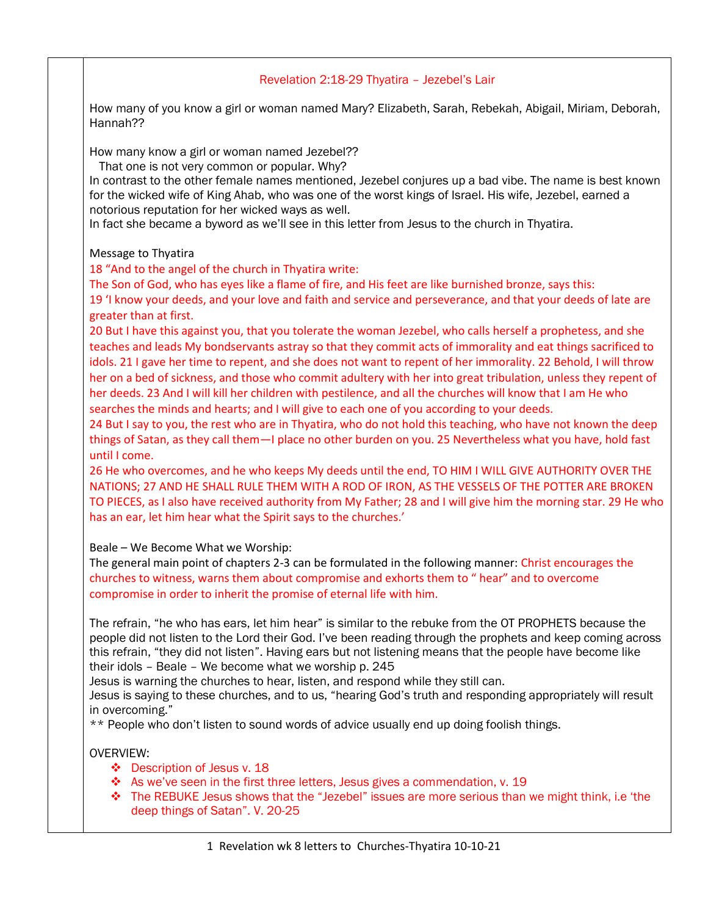# Revelation 2:18-29 Thyatira – Jezebel's Lair

How many of you know a girl or woman named Mary? Elizabeth, Sarah, Rebekah, Abigail, Miriam, Deborah, Hannah??

How many know a girl or woman named Jezebel??

That one is not very common or popular. Why?

In contrast to the other female names mentioned, Jezebel conjures up a bad vibe. The name is best known for the wicked wife of King Ahab, who was one of the worst kings of Israel. His wife, Jezebel, earned a notorious reputation for her wicked ways as well.

In fact she became a byword as we'll see in this letter from Jesus to the church in Thyatira.

#### Message to Thyatira

18 "And to the angel of the church in Thyatira write:

The Son of God, who has eyes like a flame of fire, and His feet are like burnished bronze, says this: 19 'I know your deeds, and your love and faith and service and perseverance, and that your deeds of late are greater than at first.

20 But I have this against you, that you tolerate the woman Jezebel, who calls herself a prophetess, and she teaches and leads My bondservants astray so that they commit acts of immorality and eat things sacrificed to idols. 21 I gave her time to repent, and she does not want to repent of her immorality. 22 Behold, I will throw her on a bed of sickness, and those who commit adultery with her into great tribulation, unless they repent of her deeds. 23 And I will kill her children with pestilence, and all the churches will know that I am He who searches the minds and hearts; and I will give to each one of you according to your deeds.

24 But I say to you, the rest who are in Thyatira, who do not hold this teaching, who have not known the deep things of Satan, as they call them—I place no other burden on you. 25 Nevertheless what you have, hold fast until I come.

26 He who overcomes, and he who keeps My deeds until the end, TO HIM I WILL GIVE AUTHORITY OVER THE NATIONS; 27 AND HE SHALL RULE THEM WITH A ROD OF IRON, AS THE VESSELS OF THE POTTER ARE BROKEN TO PIECES, as I also have received authority from My Father; 28 and I will give him the morning star. 29 He who has an ear, let him hear what the Spirit says to the churches.'

Beale – We Become What we Worship:

The general main point of chapters 2-3 can be formulated in the following manner: Christ encourages the churches to witness, warns them about compromise and exhorts them to " hear" and to overcome compromise in order to inherit the promise of eternal life with him.

The refrain, "he who has ears, let him hear" is similar to the rebuke from the OT PROPHETS because the people did not listen to the Lord their God. I've been reading through the prophets and keep coming across this refrain, "they did not listen". Having ears but not listening means that the people have become like their idols – Beale – We become what we worship p. 245

Jesus is warning the churches to hear, listen, and respond while they still can.

Jesus is saying to these churches, and to us, "hearing God's truth and responding appropriately will result in overcoming."

\*\* People who don't listen to sound words of advice usually end up doing foolish things.

OVERVIEW:

- ❖ Description of Jesus v. 18
- ❖ As we've seen in the first three letters, Jesus gives a commendation, v. 19
- $\div$  The REBUKE Jesus shows that the "Jezebel" issues are more serious than we might think, i.e 'the deep things of Satan". V. 20-25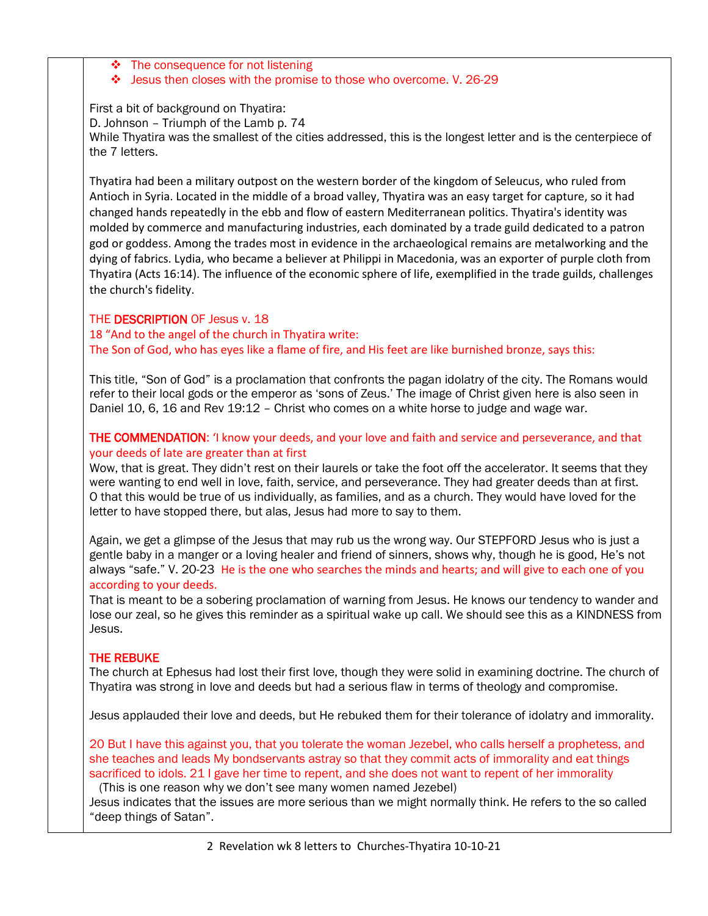❖ The consequence for not listening ❖ Jesus then closes with the promise to those who overcome. V. 26-29

## First a bit of background on Thyatira:

D. Johnson – Triumph of the Lamb p. 74

While Thyatira was the smallest of the cities addressed, this is the longest letter and is the centerpiece of the 7 letters.

Thyatira had been a military outpost on the western border of the kingdom of Seleucus, who ruled from Antioch in Syria. Located in the middle of a broad valley, Thyatira was an easy target for capture, so it had changed hands repeatedly in the ebb and flow of eastern Mediterranean politics. Thyatira's identity was molded by commerce and manufacturing industries, each dominated by a trade guild dedicated to a patron god or goddess. Among the trades most in evidence in the archaeological remains are metalworking and the dying of fabrics. Lydia, who became a believer at Philippi in Macedonia, was an exporter of purple cloth from Thyatira (Acts 16:14). The influence of the economic sphere of life, exemplified in the trade guilds, challenges the church's fidelity.

#### THE DESCRIPTION OF Jesus v. 18

18 "And to the angel of the church in Thyatira write: The Son of God, who has eyes like a flame of fire, and His feet are like burnished bronze, says this:

This title, "Son of God" is a proclamation that confronts the pagan idolatry of the city. The Romans would refer to their local gods or the emperor as 'sons of Zeus.' The image of Christ given here is also seen in Daniel 10, 6, 16 and Rev 19:12 – Christ who comes on a white horse to judge and wage war.

## THE COMMENDATION: 'I know your deeds, and your love and faith and service and perseverance, and that your deeds of late are greater than at first

Wow, that is great. They didn't rest on their laurels or take the foot off the accelerator. It seems that they were wanting to end well in love, faith, service, and perseverance. They had greater deeds than at first. O that this would be true of us individually, as families, and as a church. They would have loved for the letter to have stopped there, but alas, Jesus had more to say to them.

Again, we get a glimpse of the Jesus that may rub us the wrong way. Our STEPFORD Jesus who is just a gentle baby in a manger or a loving healer and friend of sinners, shows why, though he is good, He's not always "safe." V. 20-23 He is the one who searches the minds and hearts; and will give to each one of you according to your deeds.

That is meant to be a sobering proclamation of warning from Jesus. He knows our tendency to wander and lose our zeal, so he gives this reminder as a spiritual wake up call. We should see this as a KINDNESS from Jesus.

## THE REBUKE

The church at Ephesus had lost their first love, though they were solid in examining doctrine. The church of Thyatira was strong in love and deeds but had a serious flaw in terms of theology and compromise.

Jesus applauded their love and deeds, but He rebuked them for their tolerance of idolatry and immorality.

20 But I have this against you, that you tolerate the woman Jezebel, who calls herself a prophetess, and she teaches and leads My bondservants astray so that they commit acts of immorality and eat things sacrificed to idols. 21 I gave her time to repent, and she does not want to repent of her immorality

(This is one reason why we don't see many women named Jezebel)

Jesus indicates that the issues are more serious than we might normally think. He refers to the so called "deep things of Satan".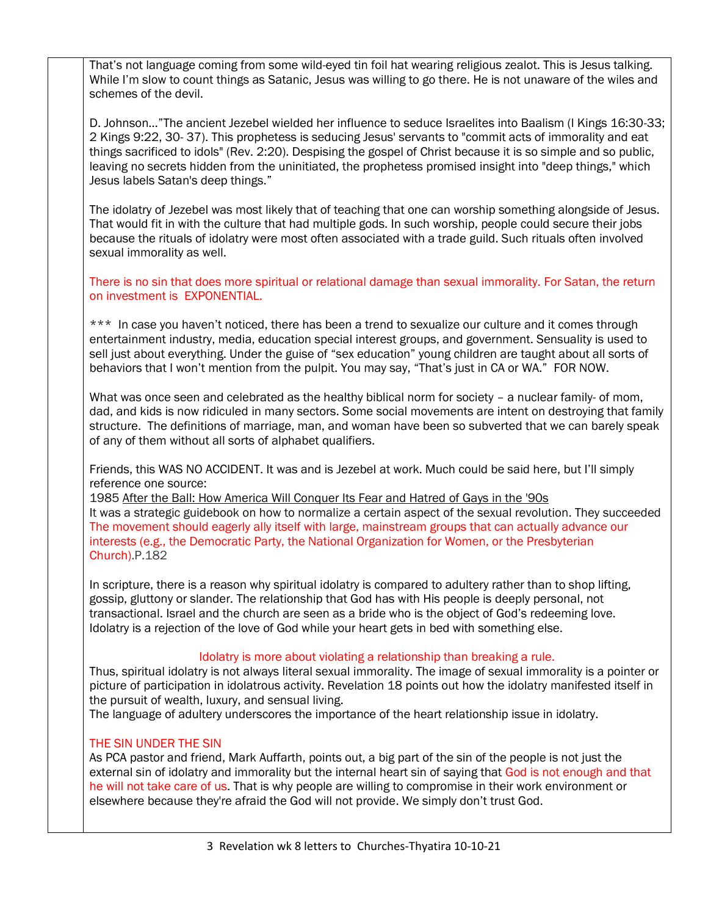That's not language coming from some wild-eyed tin foil hat wearing religious zealot. This is Jesus talking. While I'm slow to count things as Satanic, Jesus was willing to go there. He is not unaware of the wiles and schemes of the devil.

D. Johnson…"The ancient Jezebel wielded her influence to seduce Israelites into Baalism (l Kings 16:30-33; 2 Kings 9:22, 30- 37). This prophetess is seducing Jesus' servants to "commit acts of immorality and eat things sacrificed to idols" (Rev. 2:20). Despising the gospel of Christ because it is so simple and so public, leaving no secrets hidden from the uninitiated, the prophetess promised insight into "deep things," which Jesus labels Satan's deep things."

The idolatry of Jezebel was most likely that of teaching that one can worship something alongside of Jesus. That would fit in with the culture that had multiple gods. In such worship, people could secure their jobs because the rituals of idolatry were most often associated with a trade guild. Such rituals often involved sexual immorality as well.

There is no sin that does more spiritual or relational damage than sexual immorality. For Satan, the return on investment is EXPONENTIAL.

\*\*\* In case you haven't noticed, there has been a trend to sexualize our culture and it comes through entertainment industry, media, education special interest groups, and government. Sensuality is used to sell just about everything. Under the guise of "sex education" young children are taught about all sorts of behaviors that I won't mention from the pulpit. You may say, "That's just in CA or WA." FOR NOW.

What was once seen and celebrated as the healthy biblical norm for society - a nuclear family- of mom, dad, and kids is now ridiculed in many sectors. Some social movements are intent on destroying that family structure. The definitions of marriage, man, and woman have been so subverted that we can barely speak of any of them without all sorts of alphabet qualifiers.

Friends, this WAS NO ACCIDENT. It was and is Jezebel at work. Much could be said here, but I'll simply reference one source:

1985 After the Ball: How America Will Conquer Its Fear and Hatred of Gays in the '90s It was a strategic guidebook on how to normalize a certain aspect of the sexual revolution. They succeeded The movement should eagerly ally itself with large, mainstream groups that can actually advance our interests (e.g., the Democratic Party, the National Organization for Women, or the Presbyterian Church).P.182

In scripture, there is a reason why spiritual idolatry is compared to adultery rather than to shop lifting, gossip, gluttony or slander. The relationship that God has with His people is deeply personal, not transactional. Israel and the church are seen as a bride who is the object of God's redeeming love. Idolatry is a rejection of the love of God while your heart gets in bed with something else.

#### Idolatry is more about violating a relationship than breaking a rule.

Thus, spiritual idolatry is not always literal sexual immorality. The image of sexual immorality is a pointer or picture of participation in idolatrous activity. Revelation 18 points out how the idolatry manifested itself in the pursuit of wealth, luxury, and sensual living.

The language of adultery underscores the importance of the heart relationship issue in idolatry.

## THE SIN UNDER THE SIN

As PCA pastor and friend, Mark Auffarth, points out, a big part of the sin of the people is not just the external sin of idolatry and immorality but the internal heart sin of saying that God is not enough and that he will not take care of us. That is why people are willing to compromise in their work environment or elsewhere because they're afraid the God will not provide. We simply don't trust God.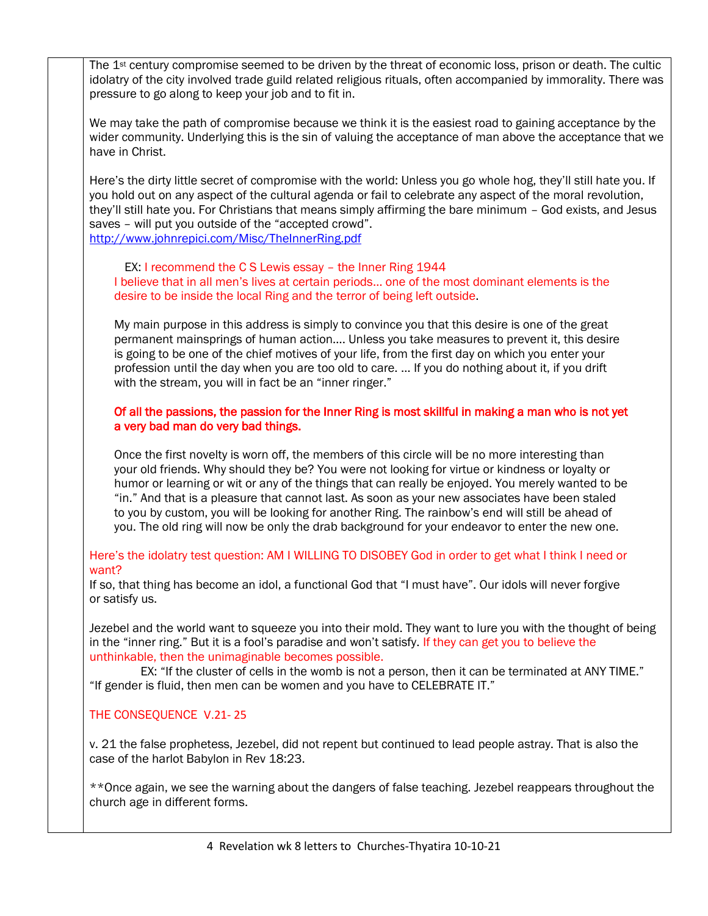The  $1st$  century compromise seemed to be driven by the threat of economic loss, prison or death. The cultic idolatry of the city involved trade guild related religious rituals, often accompanied by immorality. There was pressure to go along to keep your job and to fit in.

We may take the path of compromise because we think it is the easiest road to gaining acceptance by the wider community. Underlying this is the sin of valuing the acceptance of man above the acceptance that we have in Christ.

Here's the dirty little secret of compromise with the world: Unless you go whole hog, they'll still hate you. If you hold out on any aspect of the cultural agenda or fail to celebrate any aspect of the moral revolution, they'll still hate you. For Christians that means simply affirming the bare minimum – God exists, and Jesus saves – will put you outside of the "accepted crowd".

<http://www.johnrepici.com/Misc/TheInnerRing.pdf>

 EX: I recommend the C S Lewis essay – the Inner Ring 1944 I believe that in all men's lives at certain periods… one of the most dominant elements is the desire to be inside the local Ring and the terror of being left outside.

My main purpose in this address is simply to convince you that this desire is one of the great permanent mainsprings of human action…. Unless you take measures to prevent it, this desire is going to be one of the chief motives of your life, from the first day on which you enter your profession until the day when you are too old to care. … If you do nothing about it, if you drift with the stream, you will in fact be an "inner ringer."

## Of all the passions, the passion for the Inner Ring is most skillful in making a man who is not yet a very bad man do very bad things.

Once the first novelty is worn off, the members of this circle will be no more interesting than your old friends. Why should they be? You were not looking for virtue or kindness or loyalty or humor or learning or wit or any of the things that can really be enjoyed. You merely wanted to be "in." And that is a pleasure that cannot last. As soon as your new associates have been staled to you by custom, you will be looking for another Ring. The rainbow's end will still be ahead of you. The old ring will now be only the drab background for your endeavor to enter the new one.

Here's the idolatry test question: AM I WILLING TO DISOBEY God in order to get what I think I need or want?

If so, that thing has become an idol, a functional God that "I must have". Our idols will never forgive or satisfy us.

Jezebel and the world want to squeeze you into their mold. They want to lure you with the thought of being in the "inner ring." But it is a fool's paradise and won't satisfy. If they can get you to believe the unthinkable, then the unimaginable becomes possible.

 EX: "If the cluster of cells in the womb is not a person, then it can be terminated at ANY TIME." "If gender is fluid, then men can be women and you have to CELEBRATE IT."

# THE CONSEQUENCE V.21- 25

v. 21 the false prophetess, Jezebel, did not repent but continued to lead people astray. That is also the case of the harlot Babylon in Rev 18:23.

\*\*Once again, we see the warning about the dangers of false teaching. Jezebel reappears throughout the church age in different forms.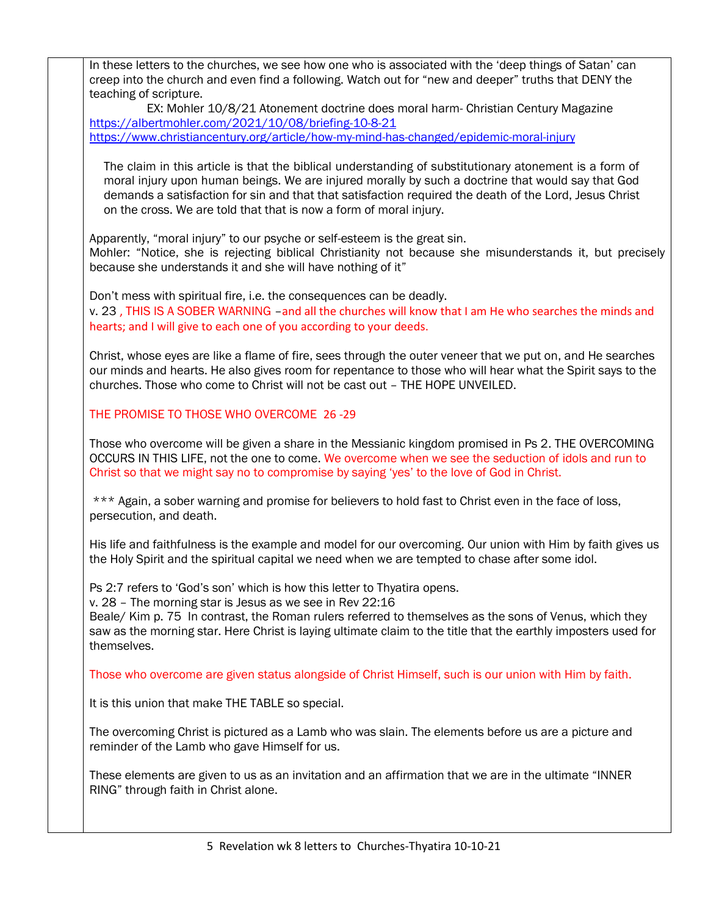In these letters to the churches, we see how one who is associated with the 'deep things of Satan' can creep into the church and even find a following. Watch out for "new and deeper" truths that DENY the teaching of scripture. EX: Mohler 10/8/21 Atonement doctrine does moral harm- Christian Century Magazine <https://albertmohler.com/2021/10/08/briefing-10-8-21> <https://www.christiancentury.org/article/how-my-mind-has-changed/epidemic-moral-injury> The claim in this article is that the biblical understanding of substitutionary atonement is a form of moral injury upon human beings. We are injured morally by such a doctrine that would say that God demands a satisfaction for sin and that that satisfaction required the death of the Lord, Jesus Christ on the cross. We are told that that is now a form of moral injury. Apparently, "moral injury" to our psyche or self-esteem is the great sin. Mohler: "Notice, she is rejecting biblical Christianity not because she misunderstands it, but precisely because she understands it and she will have nothing of it" Don't mess with spiritual fire, i.e. the consequences can be deadly. v. 23 , THIS IS A SOBER WARNING –and all the churches will know that I am He who searches the minds and hearts; and I will give to each one of you according to your deeds. Christ, whose eyes are like a flame of fire, sees through the outer veneer that we put on, and He searches our minds and hearts. He also gives room for repentance to those who will hear what the Spirit says to the churches. Those who come to Christ will not be cast out – THE HOPE UNVEILED. THE PROMISE TO THOSE WHO OVERCOME 26 -29 Those who overcome will be given a share in the Messianic kingdom promised in Ps 2. THE OVERCOMING OCCURS IN THIS LIFE, not the one to come. We overcome when we see the seduction of idols and run to Christ so that we might say no to compromise by saying 'yes' to the love of God in Christ. \*\*\* Again, a sober warning and promise for believers to hold fast to Christ even in the face of loss, persecution, and death. His life and faithfulness is the example and model for our overcoming. Our union with Him by faith gives us the Holy Spirit and the spiritual capital we need when we are tempted to chase after some idol. Ps 2:7 refers to 'God's son' which is how this letter to Thyatira opens. v. 28 – The morning star is Jesus as we see in Rev 22:16 Beale/ Kim p. 75 In contrast, the Roman rulers referred to themselves as the sons of Venus, which they saw as the morning star. Here Christ is laying ultimate claim to the title that the earthly imposters used for themselves. Those who overcome are given status alongside of Christ Himself, such is our union with Him by faith. It is this union that make THE TABLE so special. The overcoming Christ is pictured as a Lamb who was slain. The elements before us are a picture and reminder of the Lamb who gave Himself for us. These elements are given to us as an invitation and an affirmation that we are in the ultimate "INNER RING" through faith in Christ alone.